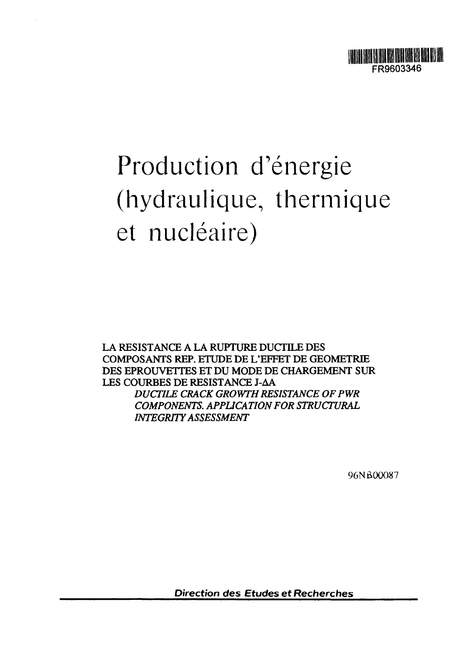

# Production d'énergie (hydraulique, thermique et nucléaire)

LA RESISTANCE A LA RUPTURE DUCTILE DES COMPOSANTS REP. ETUDE DE L'EFFET DE GEOMETRIE DES EPROUVETTES ET DU MODE DE CHARGEMENT SUR LES COURBES DE RESISTANCE J-AA **DUCTILE CRACK GROWTH RESISTANCE OF PWR** *COMPONENTS. APPUCATION FOR STRUCTURAL INTEGRITY ASSESSMENT*

96NB00O87

Direction des Etudes et Recherches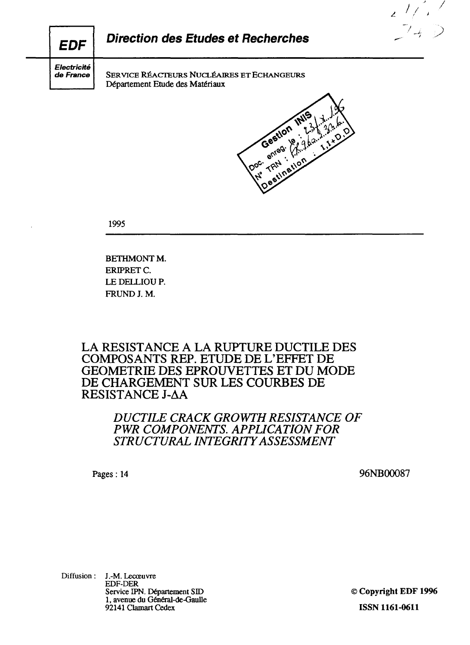**/', <sup>7</sup>**  $74D$ **Direction des Etudes et Recherches EDF** Electricité SERVICE RÉACTEURS NUCLÉAIRES ET ECHANGEURS de France Département Etude des Matériaux

Doc TRN Privation Gestlon

1995

**BETHMONT M.** ERIPRET C. LE DELLIOU P. FRUND J. M.

## **LA RESISTANCE A LA RUPTURE DUCTILE DES COMPOSANTS REP. ETUDE DE L'EFFET DE GEOMETRIE DES EPROUVETTES ET DU MODE DE CHARGEMENT SUR LES COURBES DE RESISTANCE J-AA**

## *DUCTILE CRACK GROWTH RESISTANCE OF PWR COMPONENTS. APPLICATION FOR STRUCTURAL INTEGRITY ASSESSMENT*

Pages : 14 96NB00087

Diffusion : J.-M. Lecœuvre EDF-DER Service EPN. Département SID 1, avenue du Général-de-Gaulle 92141 Clamart Cedex

© **Copyright EDF 1996 ISSN 1161-0611**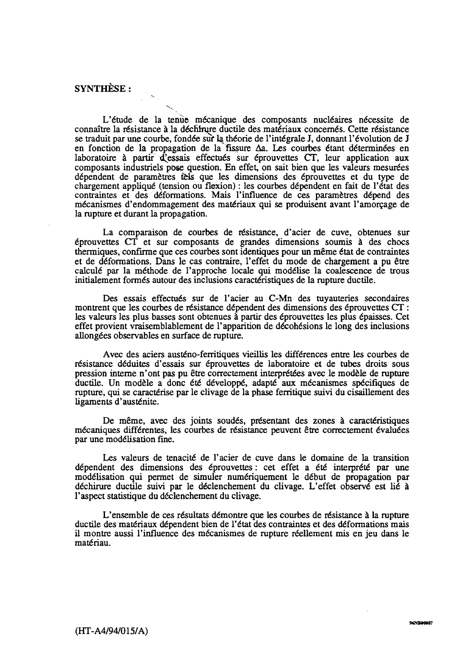### SYNTHESE :

L'étude de la tenue mécanique des composants nucléaires nécessite de connaître la résistance à la déchirure ductile des matériaux concernés. Cette résistance se traduit par une courbe, fondée sur la théorie de l'intégrale J, donnant l'évolution de J en fonction de la propagation de la fissure  $\Delta a$ . Les courbes étant déterminées en laboratoire à partir d'essais effectués sur éprouvettes  $CT$ , leur application aux composants industriels pose question. En effet, on sait bien que les valeurs mesurées dépendent de paramètres *ièis* que les dimensions des éprouvettes et du type de chargement appliqué (tension ou flexion) : les courbes dépendent en fait de l'état des contraintes et des déformations. Mais l'influence de ces paramètres dépend des mécanismes d'endommagement des matériaux qui se produisent avant l'amorçage de la rupture et durant la propagation.

La comparaison de courbes de résistance, d'acier de cuve, obtenues sur éprouvettes CT et sur composants de grandes dimensions soumis à des chocs thermiques, confirme que ces courbes sont identiques pour un même état de contraintes et de déformations. Dans le cas contraire, l'effet du mode de chargement a pu être calculé par la méthode de l'approche locale qui modélise la coalescence de trous initialement formés autour des inclusions caractéristiques de la rupture ductile.

Des essais effectués sur de l'acier au C-Mn des tuyauteries secondaires montrent que les courbes de résistance dépendent des dimensions des éprouvettes CT : les valeurs les plus basses sont obtenues à partir des éprouvettes les plus épaisses. Cet effet provient vraisemblablement de l'apparition de décohésions le long des inclusions allongées observables en surface de rupture.

Avec des aciers austéno-ferritiques vieillis les différences entre les courbes de résistance déduites d'essais sur éprouvettes de laboratoire et de tubes droits sous pression interne n'ont pas pu être correctement interprétées avec le modèle de rupture ductile. Un modèle a donc été développé, adapté aux mécanismes spécifiques de rupture, qui se caractérise par le clivage de la phase ferritique suivi du cisaillement des ligaments d'austénite.

De même, avec des joints soudés, présentant des zones à caractéristiques mécaniques différentes, les courbes de résistance peuvent être correctement évaluées par une modélisation fine.

Les valeurs de tenacité de l'acier de cuve dans le domaine de la transition dépendent des dimensions des éprouvettes : cet effet a été interprété par une modélisation qui permet de simuler numériquement le début de propagation par déchirure ductile suivi par le déclenchement du clivage. L'effet observé est lié à l'aspect statistique du déclenchement du clivage.

L'ensemble de ces résultats démontre que les courbes de résistance à la rupture ductile des matériaux dépendent bien de l'état des contraintes et des déformations mais il montre aussi l'influence des mécanismes de rupture réellement mis en jeu dans le matériau.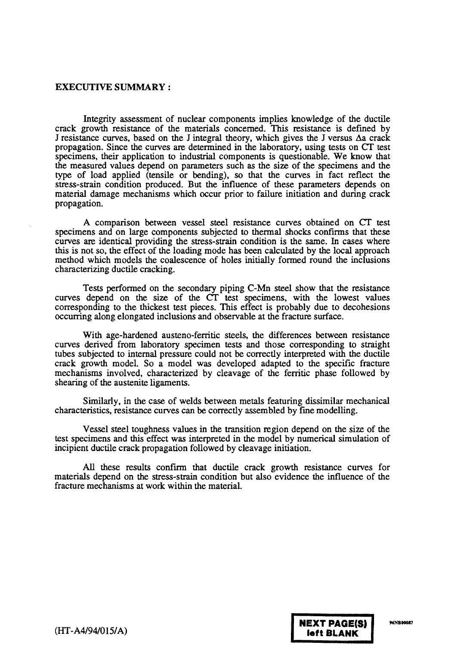#### **EXECUTIVE SUMMARY** :

Integrity assessment of nuclear components implies knowledge of the ductile crack growth resistance of the materials concerned. This resistance is defined by J resistance curves, based on the J integral theory, which gives the J versus  $\Delta a$  crack propagation. Since the curves are determined in the laboratory, using tests on CT test specimens, their application to industrial components is questionable. We know that the measured values depend on parameters such as the size of the specimens and the type of load applied (tensile or bending), so that the curves in fact reflect the stress-strain condition produced. But the influence of these parameters depends on material damage mechanisms which occur prior to failure initiation and during crack propagation.

A comparison between vessel steel resistance curves obtained on CT test specimens and on large components subjected to thermal shocks confirms that these curves are identical providing the stress-strain condition is the same. In cases where this is not so, the effect of the loading mode has been calculated by the local approach method which models the coalescence of holes initially formed round the inclusions characterizing ductile cracking.

Tests performed on the secondary piping C-Mn steel show that the resistance curves depend on the size of the CT test specimens, with the lowest values corresponding to the thickest test pieces. This effect is probably due to decohesions occurring along elongated inclusions and observable at the fracture surface.

With age-hardened austeno-ferritic steels, the differences between resistance curves derived from laboratory specimen tests and those corresponding to straight tubes subjected to internal pressure could not be correctly interpreted with the ductile crack growth model. So a model was developed adapted to the specific fracture mechanisms involved, characterized by cleavage of the ferritic phase followed by shearing of the austenite ligaments.

Similarly, in the case of welds between metals featuring dissimilar mechanical characteristics, resistance curves can be correctly assembled by fine modelling.

Vessel steel toughness values in the transition region depend on the size of the test specimens and this effect was interpreted in the model by numerical simulation of incipient ductile crack propagation followed by cleavage initiation.

All these results confirm that ductile crack growth resistance curves for materials depend on the stress-strain condition but also evidence the influence of the fracture mechanisms at work within the material.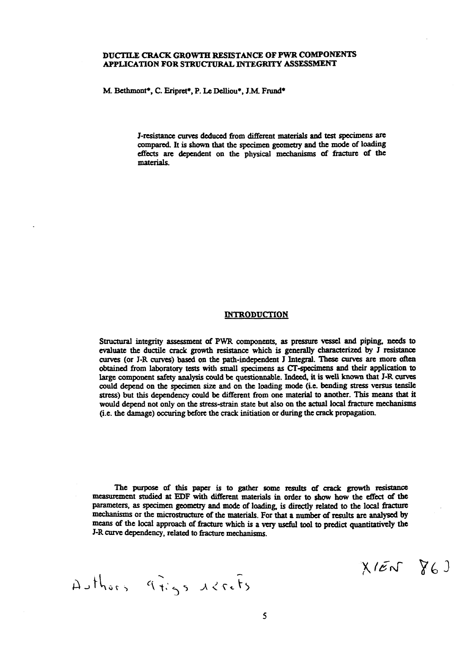#### **DUCTILE CRACK GROWTH RESISTANCE OF PWR COMPONENTS APPLICATION FOR STRUCTURAL INTEGRITY ASSESSMENT**

**M. Bcthmont\*. C. Eripret\*, P. Le Delliou\*. JM Frund\***

**J-resistance curves deduced from different materials and test specimens are compared. It is shown that the specimen geometry and the mode of loading effects are dependent on the physical mechanisms of fracture of the materials.**

#### **INTRODUCTION**

**Structural integrity assessment of PWR components, as pressure vessel and piping, needs to evaluate the ductile crack growth resistance which is generally characterized by J resistance curves (or J-R curves) based on the path-independent J Integral. These curves are more often obtained from laboratory tests with small specimens as CT-specimens and their application to large component safety analysis could be questionnable. Indeed, it is well known that J-R curves could depend on the specimen size and on the loading mode (i.e. bending stress versus tensile stress) but this dependency could be different from one material to another. This means that it would depend not only on the stress-strain state but also on the actual local fracture mechanisms (i.e. the damage) occuring before the crack initiation or during the crack propagation.**

**The purpose of this paper is to gather some results of crack growth resistance measurement studied at EDF with different materials in order to show how the effect of the parameters, as specimen geometry and mode of loading, is directly related to the local fracture mechanisms or the microstructure of the materials. For that a number of results are analysed by means of the local approach of fracture which is a very useful tool to predict quantitatively the J-R curve dependency, related to fracture mechanisms,**

Authors gigs acrefs

 $X/EN$   $X6$ )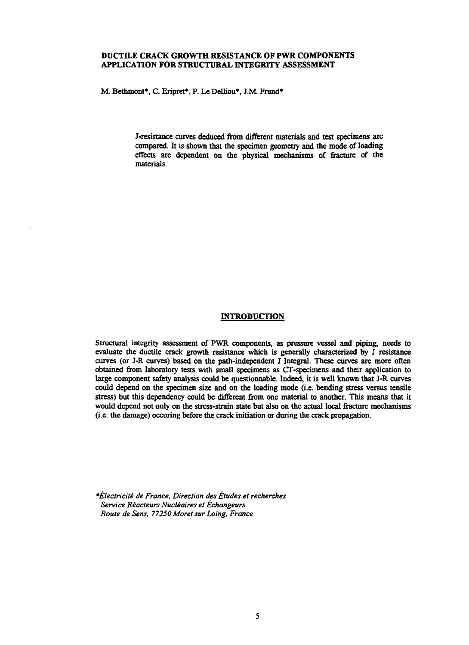#### **DUCTILE CRACK GROWTH RESISTANCE OF PWR COMPONENTS APPLICATION FOR STRUCTURAL INTEGRITY ASSESSMENT**

M. Bethmont\*, C. Eripret\*, P. Le Delliou\*, J.M. Frund\*

J-resistance curves deduced from different materials and test specimens are compared. It is shown that the specimen geometry and the mode of loading effects are dependent on the physical mechanisms of fracture of the materials.

#### **INTRODUCTION**

Structural integrity assessment of PWR components, as pressure vessel and piping, needs to evaluate the ductile crack growth resistance which is generally characterized by J resistance curves (or J-R curves) based on the path-independent J Integral. These curves are more often obtained from laboratory tests with small specimens as CT-specimens and their application to large component safety analysis could be questionnable. Indeed, it is well known that J-R curves could depend on the specimen size and on the loading mode (i.e. bending stress versus tensile stress) but this dependency could be different from one material to another. This means that it would depend not only on the stress-strain state but also on the actual local fracture mechanisms (i.e. the damage) occuring before the crack initiation or during the crack propagation.

*\*Électricité de France, Direction des Études et recherches Service Réacteurs Nucléaires et Échangeurs Route de Sens, 77250 Moret sur Loing, France*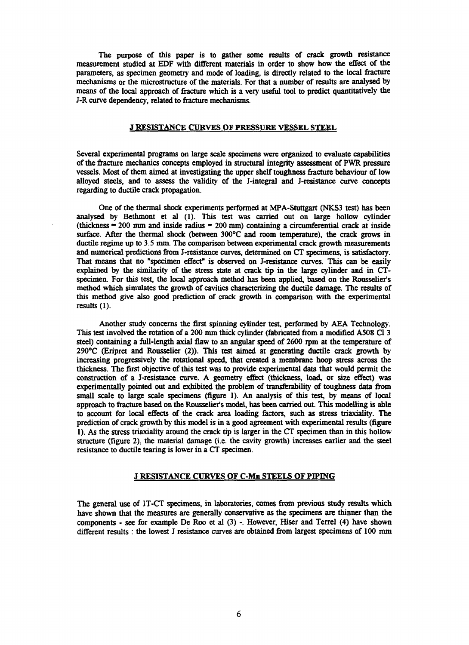**The purpose of this paper is to gather some results of crack growth resistance measurement studied at EDF with different materials in order to show how the effect of the parameters, as specimen geometry and mode of loading, is directly related to the local fracture mechanisms or the microstructure of the materials. For that a number of results are analysed by means of the local approach of fracture which is a very useful tool to predict quantitatively the J-R curve dependency, related to fracture mechanisms.**

#### **J RESISTANCE CURVES OF PRESSURE VESSEL STEEL**

**Several experimental programs on large scale specimens were organized to evaluate capabilities of the fracture mechanics concepts employed in structural integrity assessment of PWR pressure vessels. Most of them aimed at investigating the upper shelf toughness fracture behaviour of low alloyed steels, and to assess the validity of the J-integral and J-resistance curve concepts regarding to ductile crack propagation.**

**One of the thermal shock experiments performed at MPA-Stuttgart (NKS3 test) has been analysed by Bethmont et al (1). This test was carried out on large hollow cylinder (thickness = 200 mm and inside radius = 200 mm) containing a circumferential crack at inside surface. After the thermal shock (between 300°C and room temperature), the crack grows in ductile regime up to 3.5 mm. The comparison between experimental crack growth measurements and numerical predictions from J-resistance curves, determined on CT specimens, is satisfactory. That means that no "specimen effect" is observed on J-resistance curves. This can be easily explained by the similarity of the stress state at crack tip in the large cylinder and in CTspecimen. For this test, the local approach method has been applied, based on the Rousselier's method which simulates the growth of cavities characterizing the ductile damage. The results of this method give also good prediction of crack growth in comparison with the experimental results (1).**

**Another study concerns the first spinning cylinder test, performed by AEA Technology. This test involved the rotation of a 200 mm thick cylinder (fabricated from a modified A508 Cl 3 steel) containing a full-length axial flaw to an angular speed of 2600 rpm at the temperature of 290°C (Eripret and Rousselier (2)). This test aimed at generating ductile crack growth by increasing progressively the rotational speed, that created a membrane hoop stress across the thickness. The first objective of this test was to provide experimental data that would permit the construction of a J-resistance curve. A geometry effect (thickness, load, or size effect) was experimentally pointed out and exhibited the problem of transferabiliry of toughness data from small scale to large scale specimens (figure 1). An analysis of this test, by means of local approach to fracture based on the Rousselier's model, has been carried out. This modelling is able to account for local effects of the crack area loading factors, such as stress triaxiality. The prediction of crack growth by this model is in a good agreement with experimental results (figure 1). As the stress triaxiality around the crack tip is larger in the CT specimen than in this hollow structure (figure 2), the material damage (i.e. the cavity growth) increases earlier and the steel resistance to ductile tearing is lower in a CT specimen.**

#### **J RESISTANCE CURVES OF C-Mn STEELS OF PIPING**

**The general use of 1T-CT specimens, in laboratories, comes from previous study results which have shown that the measures are generally conservative as the specimens are thinner than the components - see for example De Roo et al (3) -. However, Hiser and Terrel (4) have shown different results : the lowest J resistance curves are obtained from largest specimens of 100 mm**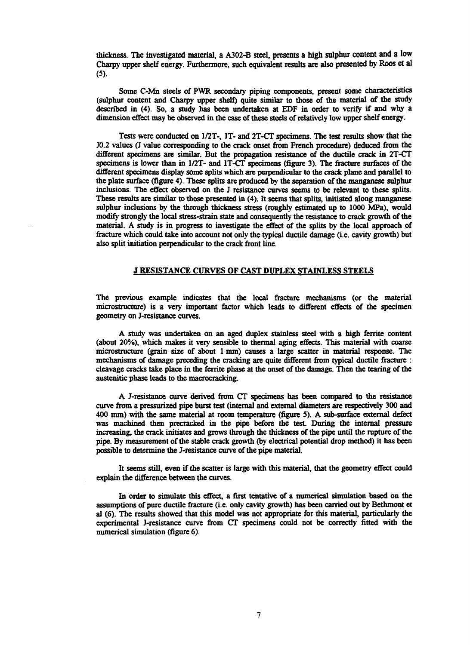**thickness. The investigated material, a A302-B steel, presents a high sulphur content and a low Charpy upper shelf energy. Furthermore, such equivalent results are also presented by Roos et al (5).**

**Some C-Mn steels of PWR secondary piping components, present some characteristics (sulphur content and Charpy upper shelf) quite similar to those of the material of the study described in (4). So, a study has been undertaken at EDF in order to verify if and why a dimension effect may be observed in the case of these steels of relatively low upper shelf energy.**

**Tests were conducted on 1/2T-, IT- and 2T-CT specimens. The test results show that the J0.2 values (J value corresponding to the crack onset from French procedure) deduced from the different specimens are similar. But the propagation resistance of the ductile crack in 2T-CT specimens is lower than in 1/2T- and 1T-CT specimens (figure 3). The fracture surfaces of the different specimens display some splits which are perpendicular to the crack plane and parallel to the plate surface (figure 4). These splits are produced by the separation of the manganese sulphur inclusions. The effect observed on the J resistance curves seems to be relevant to these splits. These results are similar to those presented in (4). It seems that splits, initiated along manganese sulphur inclusions by the through thickness stress (roughly estimated up to 1000 MPa), would modify strongly the local stress-strain state and consequently the resistance to crack growth of the material. A study is in progress to investigate the effect of the splits by the local approach of fracture which could take into account not only the typical ductile damage (i.e. cavity growth) but also split initiation perpendicular to the crack front line.**

#### **J RESISTANCE CURVES OF CAST DUPLEX STAINLESS STEELS**

**The previous example indicates that the local fracture mechanisms (or the material microstructure) is a very important factor which leads to different effects of the specimen geometry on J-resistance curves.**

**A study was undertaken on an aged duplex stainless steel with a high ferrite content (about 20%), which makes it very sensible to thermal aging effects. This material with coarse microstructure (grain size of about 1 mm) causes a large scatter in material response. The mechanisms of damage preceding the cracking are quite different from typical ductile fracture : cleavage cracks take place in the ferrite phase at the onset of the damage. Then the tearing of the austenitic phase leads to the macrocracking.**

**A J-resistance curve derived from CT specimens has been compared to the resistance curve from a pressurized pipe burst test (internal and external diameters are respectively 300 and 400 mm) with the same material at room temperature (figure 5). A sub-surface external defect was machined then precracked in the pipe before the test During the internal pressure increasing, the crack initiates and grows through the thickness of the pipe until the rupture of the pipe. By measurement of the stable crack growth (by electrical potential drop method) it has been possible to determine the J-resistance curve of the pipe material.**

**It seems still, even if the scatter is large with this material, that the geometry effect could explain the difference between the curves.**

**In order to simulate this effect, a first tentative of a numerical simulation based on the assumptions of pure ductile fracture (i.e. only cavity growth) has been carried out by Bethmont et al (6). The results showed that this model was not appropriate for this material, particularly the experimental J-resistance curve from CT specimens could not be correctly fitted with the numerical simulation (figure 6).**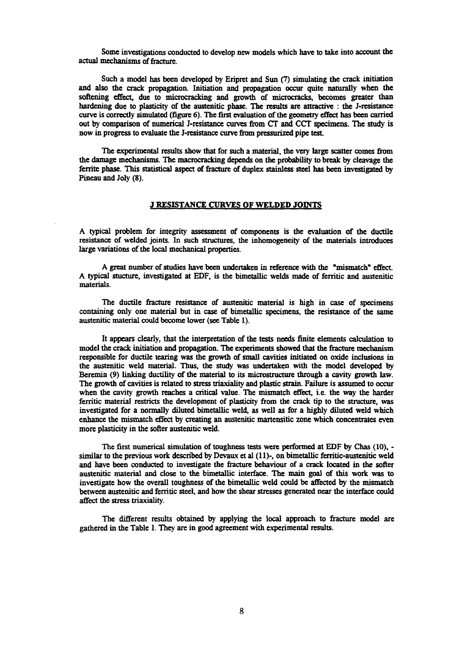**Some investigations conducted to develop new models which have to take into account the actual mechanisms of fracture.**

**Such a model has been developed by Eripret and Sun (7) simulating the crack initiation and also the crack propagation. Initiation and propagation occur quite naturally when the softening effect, due to microcracking and growth of microcracks, becomes greater than hardening due to plasticity of the austenitic phase. The results are attractive : the J-resistance curve is correctly simulated (figure 6). The first evaluation of the geometry effect has been carried out by comparison of numerical J-resistance curves from CT and CCT specimens. The study is now in progress to evaluate the J-resistance curve from pressurized pipe test.**

**The experimental results show that for such a material, the very large scatter comes from the damage mechanisms. The macrocracking depends on the probability to break by cleavage the ferrite phase. This statistical aspect of fracture of duplex stainless steel has been investigated by Pineau and Joly (8).**

#### **J RESISTANCE CURVES OF WELDED JOINTS**

**A typical problem for integrity assessment of components is the evaluation of the ductile resistance of welded joints. In such structures, the inhomogeneity of the materials introduces large variations of the local mechanical properties.**

**A great number of studies have been undertaken in reference with the "mismatch" effect. A typical stucture, investigated at EDF, is the bimetallic welds made of ferritic and austenitic materials.**

**The ductile fracture resistance of austenitic material is high in case of specimens containing only one material but in case of bimetallic specimens, the resistance of the same austenitic material could become lower (see Table 1).**

**It appears clearly, that the interpretation of the tests needs finite elements calculation to model the crack initiation and propagation. The experiments showed that the fracture mechanism responsible for ductile tearing was the growth of small cavities initiated on oxide inclusions in the austenitic weld material. Thus, the study was undertaken with the model developed by** Beremin (9) linking ductility of the material to its microstructure through a cavity growth law. **The growth of cavities is related to stress triaxiality and plastic strain. Failure is assumed to occur when the cavity growth reaches a critical value. The mismatch effect, i.e. the way the harder ferritic material restricts the development of plasticity from the crack tip to the structure, was investigated for a normally diluted bimetallic weld, as well as for a highly diluted weld which enhance the mismatch effect by creating an austenitic martensitic zone which concentrates even more plasticity in the softer austenitic weld.**

**The first numerical simulation of toughness tests were performed at EDF by Chas (10), similar to the previous work described by Devaux et al (11)-, on bimetallic ferritic-austenitic weld and have been conducted to investigate the fracture behaviour of a crack located in the softer austenitic material and close to the bimetallic interface. The main goal of this work was to investigate how the overall toughness of the bimetallic weld could be affected by the mismatch between austenitic and ferritic steel, and how the shear stresses generated near the interface could affect the stress triaxiality.**

**The different results obtained by applying the local approach to fracture model are gathered in the Table 1. They are in good agreement with experimental results.**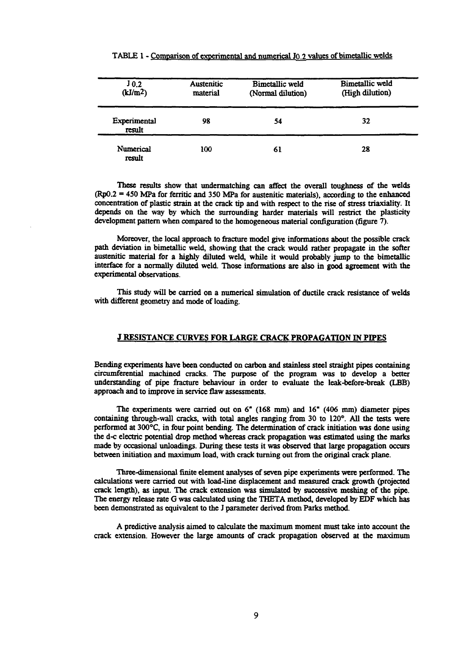| $J_{0,2}$<br>(kJ/m <sup>2</sup> ) | <b>Austenitic</b><br>material | Bimetallic weld<br>(Normal dilution) | Bimetallic weld<br>(High dilution) |
|-----------------------------------|-------------------------------|--------------------------------------|------------------------------------|
| Experimental<br>result            | 98                            | 54                                   | 32                                 |
| Numerical<br>result               | 100                           | 61                                   | 28                                 |

#### TABLE 1 - Comparison of experimental and numerical J0.2 values of bimetallic welds

**These results show that undermatching can affect the overall toughness of the welds (Rp0.2 = 450 MPa for ferritic and 350 MPa for austenitic materials), according to the enhanced concentration of plastic strain at the crack tip and with respect to the rise of stress triaxiality. It depends on the way by which the surrounding harder materials will restrict the plasticity development pattern when compared to the homogeneous material configuration (figure 7).**

**Moreover, the local approach to fracture model give informations about the possible crack path deviation in bimetallic weld, showing that the crack would rather propagate in the softer austenitic material for a highly diluted weld, while it would probably jump to the bimetallic interface for a normally diluted weld. Those informations are also in good agreement with the experimental observations.**

**This study will be carried on a numerical simulation of ductile crack resistance of welds with different geometry and mode of loading.**

#### **J RESISTANCE CURVES FOR LARGE CRACK PROPAGATION IN PIPES**

**Bending experiments have been conducted on carbon and stainless steel straight pipes containing circumferential machined cracks. The purpose of the program was to develop a better understanding of pipe fracture behaviour in order to evaluate the leak-before-break (LBB) approach and to improve in service flaw assessments.**

**The experiments were carried out on 6" (168 mm) and 16" (406 mm) diameter pipes containing through-wall cracks, with total angles ranging from 30 to 120°. All the tests were performed at 300°C, in four point bending. The determination of crack initiation was done using the d-c electric potential drop method whereas crack propagation was estimated using the marks made by occasional unloadings. During these tests it was observed that large propagation occurs between initiation and maximum load, with crack turning out from the original crack plane.**

**Three-dimensional finite element analyses of seven pipe experiments were performed. The calculations were carried out with load-line displacement and measured crack growth (projected crack length), as input. The crack extension was simulated by successive meshing of the pipe. The energy release rate G was calculated using the THETA method, developed by EDF which has been demonstrated as equivalent to the J parameter derived from Parks method.**

**A predictive analysis aimed to calculate the maximum moment must take into account the crack extension. However the large amounts of crack propagation observed at the maximum**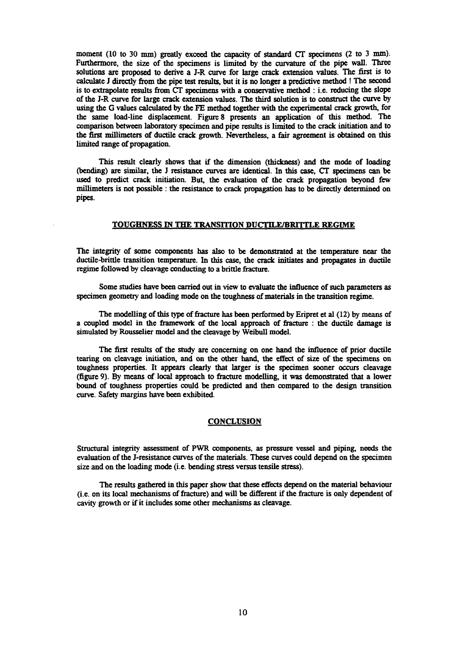**moment (10 to 30 mm) greatly exceed the capacity of standard CT specimens (2 to 3 mm). Furthermore, the size of the specimens is limited by the curvature of the pipe wall. Three solutions are proposed to derive a J-R curve for large crack extension values. The first is to calculate J directly from the pipe test results, but it is no longer a predictive method ! The second is to extrapolate results from CT specimens with a conservative method : i.e. reducing the slope of the J-R curve for large crack extension values. The third solution is to construct the curve by using the G values calculated by the FE method together with the experimental crack growth, for the same load-line displacement. Figure 8 presents an application of this method. The comparison between laboratory specimen and pipe results is limited to the crack initiation and to the first millimeters of ductile crack growth. Nevertheless, a fair agreement is obtained on this limited range of propagation.**

**This result clearly shows that if the dimension (thickness) and the mode of loading (bending) are similar, the J resistance curves are identical. In this case, CT specimens can be used to predict crack initiation. But, the evaluation of the crack propagation beyond few millimeters is not possible : the resistance to crack propagation has to be directly determined on pipes.**

#### **TOUGHNESS IN THE TRANSITION DUCTILE/BRITTLE REGIME**

**The integrity of some components has also to be demonstrated at the temperature near the ductile-brittle transition temperature. In this case, the crack initiates and propagates in ductile regime followed by cleavage conducting to a brittle fracture.**

**Some studies have been carried out in view to evaluate the influence of such parameters as specimen geometry and loading mode on the toughness of materials in the transition regime.**

**The modelling of this type of fracture has been performed by Eripret et al (12) by means of a coupled model in the framework of the local approach of fracture : the ductile damage is simulated by Rousselier model and the cleavage by Weibull model.**

**The first results of the study are concerning on one hand the influence of prior ductile tearing on cleavage initiation, and on the other hand, the effect of size of the specimens on toughness properties. It appears clearly that larger is the specimen sooner occurs cleavage (figure 9). By means of local approach to fracture modelling, it was demonstrated that a lower bound of toughness properties could be predicted and then compared to the design transition curve. Safety margins have been exhibited.**

#### **CONCLUSION**

**Structural integrity assessment of PWR components, as pressure vessel and piping, needs the evaluation of the J-resistance curves of the materials. These curves could depend on the specimen size and on the loading mode (i.e. bending stress versus tensile stress).**

**The results gathered in this paper show that these effects depend on the material behaviour (i.e. on its local mechanisms of fracture) and will be different if the fracture is only dependent of cavity growth or if it includes some other mechanisms as cleavage.**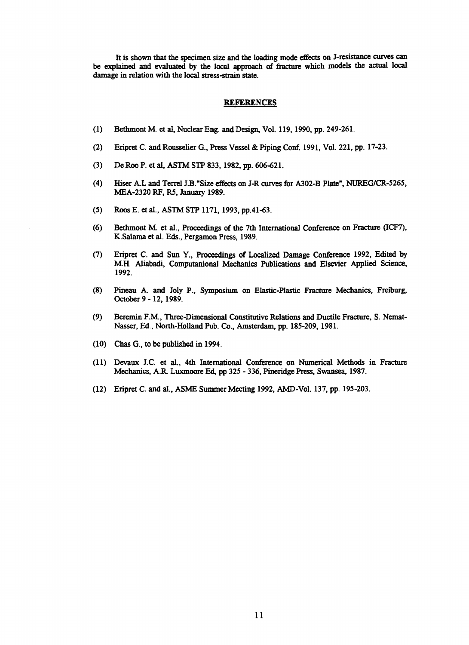**It is shown that the specimen size and the loading mode effects on J-resistance curves can be explained and evaluated by the local approach of fracture which models the actual local damage in relation with the local stress-strain state.**

#### **REFERENCES**

- **(1) Bethmont M. et al, Nuclear Eng. and Design, Vol. 119,1990, pp. 249-261.**
- **(2) Eripret C. and Rousselier G., Press Vessel & Piping Conf. 1991, Vol. 221, pp. 17-23.**
- **(3) De Roo P. et al, ASTM STP 833,1982, pp. 606-621.**
- **(4) Hiser AX and Terrel J.B."Size effects on J-R curves for A302-B Plate", NUREG/CR-5265, MEA-2320 RF, R5, January 1989.**
- **(5) Roos E. et al., ASTM STP 1171, 1993, pp.41-63.**
- **(6) Bethmont M et al., Proceedings of the 7th International Conference on Fracture (ICF7), K.Salama et al. Eds., Pergamon Press, 1989.**
- **(7) Eripret C. and Sun Y., Proceedings of Localized Damage Conference 1992, Edited by M.H. Aliabadi, Computanional Mechanics Publications and Elsevier Applied Science, 1992.**
- **(8) Pineau A. and Joly P., Symposium on Elastic-Plastic Fracture Mechanics, Freiburg, October 9 - 12, 1989.**
- **(9) Beremin F.M., Three-Dimensional Constitutive Relations and Ductile Fracture, S. Nemat-Nasser, Ed., North-Holland Pub. Co., Amsterdam, pp. 185-209, 1981.**
- **(10) Chas G., to be published in 1994.**
- **(11) Devaux J.C. et al., 4th International Conference on Numerical Methods in Fracture Mechanics, A.R. Luxmoore Ed, pp 325 - 336, Pineridge Press, Swansea, 1987.**
- **(12) Eripret C. and al., ASME Summer Meeting 1992, AMD-Vol. 137, pp. 195-203.**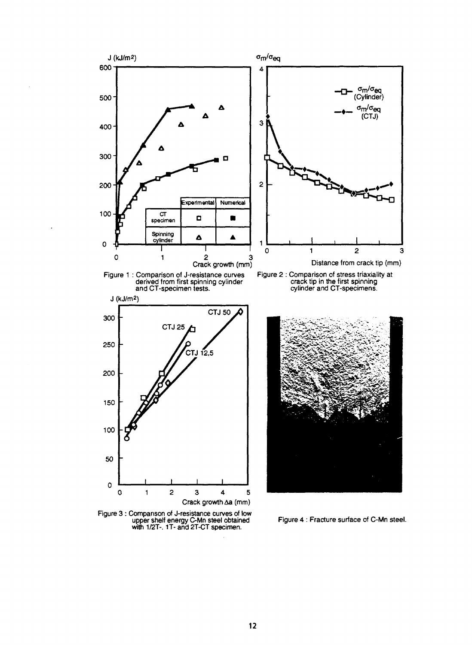

Figure 3 : Comparison of J-resistance curves of low upper shelf energy C-Mn steel obtained with 1/2T-. 1T- and 2T-CT specimen.

Figure 4 : Fracture surface of C-Mn steel.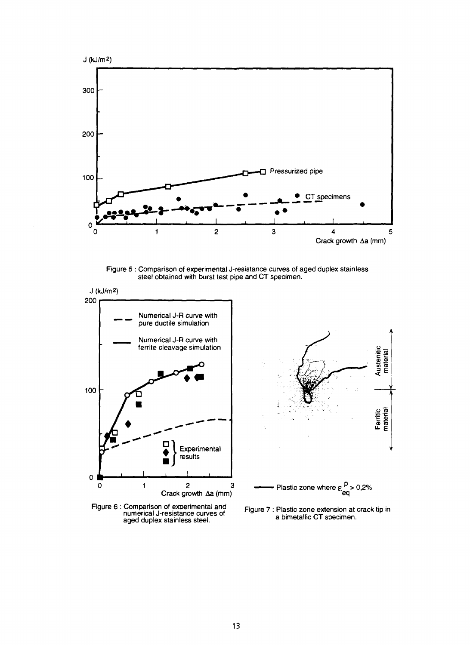

Figure 5 : Comparison of experimental J-resistance curves of aged duplex stainless steel obtained with burst test pipe and CT specimen.



aged duplex stainless steel.

a bimetallic CT specimen.